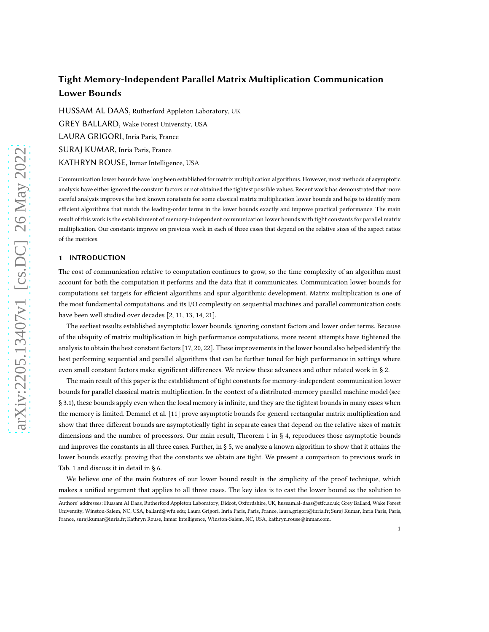# Tight Memory-Independent Parallel Matrix Multiplication Communication Lower Bounds

[HUSSAM AL DAAS,](HTTPS://ORCID.ORG/0000-0001-9355-4042) Rutherford Appleton Laboratory, UK [GREY BALLARD,](HTTPS://ORCID.ORG/0000-0003-1557-8027) Wake Forest University, USA [LAURA GRIGORI,](HTTPS://ORCID.ORG/0000-0002-5880-1076) Inria Paris, France SURAJ KUMAR, Inria Paris, France KATHRYN ROUSE, Inmar Intelligence, USA

Communication lower bounds have long been established for matrix multiplication algorithms. However, most methods of asymptotic analysis have either ignored the constant factors or not obtained the tightest possible values. Recent work has demonstrated that more careful analysis improves the best known constants for some classical matrix multiplication lower bounds and helps to identify more efficient algorithms that match the leading-order terms in the lower bounds exactly and improve practical performance. The main result of this work is the establishment of memory-independent communication lower bounds with tight constants for parallel matrix multiplication. Our constants improve on previous work in each of three cases that depend on the relative sizes of the aspect ratios of the matrices.

# 1 INTRODUCTION

The cost of communication relative to computation continues to grow, so the time complexity of an algorithm must account for both the computation it performs and the data that it communicates. Communication lower bounds for computations set targets for efficient algorithms and spur algorithmic development. Matrix multiplication is one of the most fundamental computations, and its I/O complexity on sequential machines and parallel communication costs have been well studied over decades [\[2,](#page-15-0) [11](#page-15-1), [13,](#page-15-2) [14,](#page-15-3) [21](#page-16-0)].

The earliest results established asymptotic lower bounds, ignoring constant factors and lower order terms. Because of the ubiquity of matrix multiplication in high performance computations, more recent attempts have tightened the analysis to obtain the best constant factors [\[17,](#page-15-4) [20,](#page-16-1) [22\]](#page-16-2). These improvements in the lower bound also helped identify the best performing sequential and parallel algorithms that can be further tuned for high performance in settings where even small constant factors make significant differences. We review these advances and other related work in § [2.](#page-1-0)

The main result of this paper is the establishment of tight constants for memory-independent communication lower bounds for parallel classical matrix multiplication. In the context of a distributed-memory parallel machine model (see § [3.1\)](#page-3-0), these bounds apply even when the local memory is infinite, and they are the tightest bounds in many cases when the memory is limited. Demmel et al. [\[11](#page-15-1)] prove asymptotic bounds for general rectangular matrix multiplication and show that three different bounds are asymptotically tight in separate cases that depend on the relative sizes of matrix dimensions and the number of processors. Our main result, Theorem [1](#page-7-0) in § [4,](#page-5-0) reproduces those asymptotic bounds and improves the constants in all three cases. Further, in § [5,](#page-9-0) we analyze a known algorithm to show that it attains the lower bounds exactly, proving that the constants we obtain are tight. We present a comparison to previous work in Tab. [1](#page-2-0) and discuss it in detail in § [6.](#page-13-0)

We believe one of the main features of our lower bound result is the simplicity of the proof technique, which makes a unified argument that applies to all three cases. The key idea is to cast the lower bound as the solution to

Authors' addresses: [Hussam Al Daas,](https://orcid.org/0000-0001-9355-4042) Rutherford Appleton Laboratory, Didcot, Oxfordshire, UK, hussam.al-daas@stfc.ac.uk; [Grey Ballard,](https://orcid.org/0000-0003-1557-8027) Wake Forest University, Winston-Salem, NC, USA, ballard@wfu.edu; [Laura Grigori,](https://orcid.org/0000-0002-5880-1076) Inria Paris, Paris, France, laura.grigori@inria.fr; Suraj Kumar, Inria Paris, Paris, France, suraj.kumar@inria.fr; Kathryn Rouse, Inmar Intelligence, Winston-Salem, NC, USA, kathryn.rouse@inmar.com.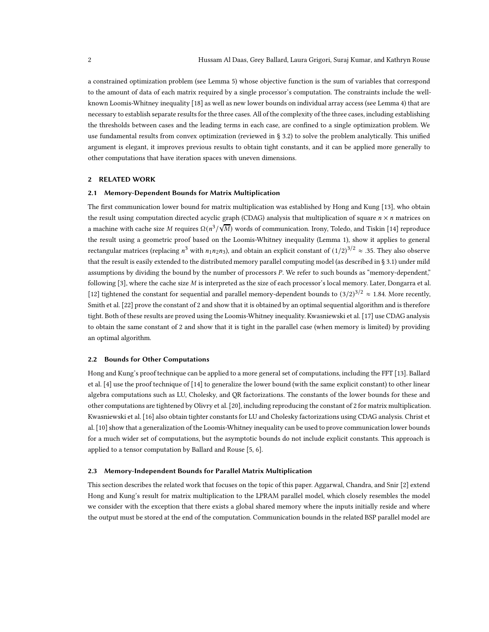a constrained optimization problem (see Lemma [5\)](#page-5-1) whose objective function is the sum of variables that correspond to the amount of data of each matrix required by a single processor's computation. The constraints include the wellknown Loomis-Whitney inequality [\[18](#page-16-3)] as well as new lower bounds on individual array access (see Lemma [4\)](#page-5-2) that are necessary to establish separate results for the three cases. All of the complexity of the three cases, including establishing the thresholds between cases and the leading terms in each case, are confined to a single optimization problem. We use fundamental results from convex optimization (reviewed in § [3.2\)](#page-3-1) to solve the problem analytically. This unified argument is elegant, it improves previous results to obtain tight constants, and it can be applied more generally to other computations that have iteration spaces with uneven dimensions.

# <span id="page-1-1"></span><span id="page-1-0"></span>2 RELATED WORK

# 2.1 Memory-Dependent Bounds for Matrix Multiplication

The first communication lower bound for matrix multiplication was established by Hong and Kung [\[13](#page-15-2)], who obtain the result using computation directed acyclic graph (CDAG) analysis that multiplication of square  $n \times n$  matrices on a machine with cache size  $M$  requires  $\Omega(n^3/\sqrt{M})$  words of communication. Irony, Toledo, and Tiskin [\[14](#page-15-3)] reproduce the result using a geometric proof based on the Loomis-Whitney inequality (Lemma [1\)](#page-3-2), show it applies to general rectangular matrices (replacing  $n^3$  with  $n_1n_2n_3$ ), and obtain an explicit constant of  $(1/2)^{3/2} \approx .35$ . They also observe that the result is easily extended to the distributed memory parallel computing model (as described in § [3.1\)](#page-3-0) under mild assumptions by dividing the bound by the number of processors P. We refer to such bounds as "memory-dependent," following [\[3\]](#page-15-5), where the cache size M is interpreted as the size of each processor's local memory. Later, Dongarra et al. [\[12\]](#page-15-6) tightened the constant for sequential and parallel memory-dependent bounds to  $(3/2)^{3/2} \approx 1.84$ . More recently, Smith et al. [\[22\]](#page-16-2) prove the constant of 2 and show that it is obtained by an optimal sequential algorithm and is therefore tight. Both of these results are proved using the Loomis-Whitney inequality. Kwasniewski et al. [\[17\]](#page-15-4) use CDAG analysis to obtain the same constant of 2 and show that it is tight in the parallel case (when memory is limited) by providing an optimal algorithm.

# 2.2 Bounds for Other Computations

Hong and Kung's proof technique can be applied to a more general set of computations, including the FFT [\[13\]](#page-15-2). Ballard et al. [\[4\]](#page-15-7) use the proof technique of [\[14\]](#page-15-3) to generalize the lower bound (with the same explicit constant) to other linear algebra computations such as LU, Cholesky, and QR factorizations. The constants of the lower bounds for these and other computations are tightened by Olivry et al. [\[20](#page-16-1)], including reproducing the constant of 2 for matrix multiplication. Kwasniewski et al. [\[16](#page-15-8)] also obtain tighter constants for LU and Cholesky factorizations using CDAG analysis. Christ et al. [\[10\]](#page-15-9) show that a generalization of the Loomis-Whitney inequality can be used to prove communication lower bounds for a much wider set of computations, but the asymptotic bounds do not include explicit constants. This approach is applied to a tensor computation by Ballard and Rouse [\[5,](#page-15-10) [6](#page-15-11)].

#### 2.3 Memory-Independent Bounds for Parallel Matrix Multiplication

This section describes the related work that focuses on the topic of this paper. Aggarwal, Chandra, and Snir [\[2\]](#page-15-0) extend Hong and Kung's result for matrix multiplication to the LPRAM parallel model, which closely resembles the model we consider with the exception that there exists a global shared memory where the inputs initially reside and where the output must be stored at the end of the computation. Communication bounds in the related BSP parallel model are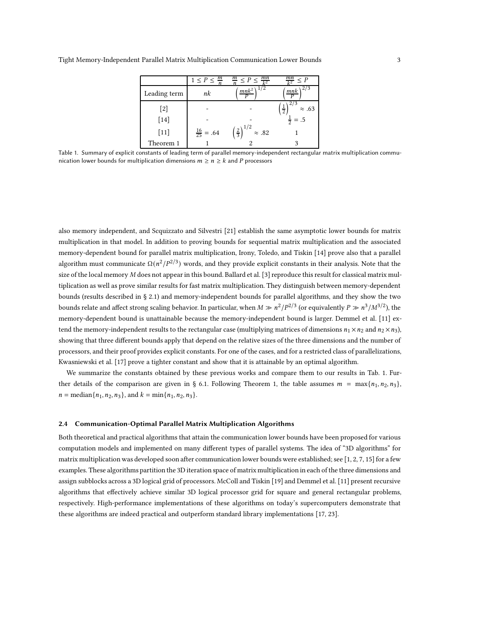<span id="page-2-0"></span>

|              | $1 \leq P \leq \frac{m}{n}$ | $\frac{mn}{l^2}$<br>$\frac{m}{n} \leq P \leq$     | mn<br>$\leq P$                 |
|--------------|-----------------------------|---------------------------------------------------|--------------------------------|
| Leading term | nk                          | 1/2<br>$mnk^2$                                    | 2/3<br>mnk                     |
| $[2]$        |                             |                                                   | $\frac{1}{2}$<br>$\approx .63$ |
| $[14]$       |                             |                                                   | $=.5$                          |
| $[11]$       | $\frac{16}{25} = .64$       | $\left(\frac{2}{3}\right)^{1/2}$<br>$\approx .82$ |                                |
| Theorem 1    |                             |                                                   |                                |

Table 1. Summary of explicit constants of leading term of parallel memory-independent rectangular matrix multiplication communication lower bounds for multiplication dimensions  $m \ge n \ge k$  and P processors

also memory independent, and Scquizzato and Silvestri [\[21](#page-16-0)] establish the same asymptotic lower bounds for matrix multiplication in that model. In addition to proving bounds for sequential matrix multiplication and the associated memory-dependent bound for parallel matrix multiplication, Irony, Toledo, and Tiskin [\[14](#page-15-3)] prove also that a parallel algorithm must communicate  $\Omega(n^2/P^{2/3})$  words, and they provide explicit constants in their analysis. Note that the size of the local memory M does not appear in this bound. Ballard et al. [\[3](#page-15-5)] reproduce this result for classical matrix multiplication as well as prove similar results for fast matrix multiplication. They distinguish between memory-dependent bounds (results described in § [2.1\)](#page-1-1) and memory-independent bounds for parallel algorithms, and they show the two bounds relate and affect strong scaling behavior. In particular, when  $M \gg n^2/P^{2/3}$  (or equivalently  $P \gg n^3/M^{3/2}$ ), the memory-dependent bound is unattainable because the memory-independent bound is larger. Demmel et al. [\[11](#page-15-1)] extend the memory-independent results to the rectangular case (multiplying matrices of dimensions  $n_1 \times n_2$  and  $n_2 \times n_3$ ), showing that three different bounds apply that depend on the relative sizes of the three dimensions and the number of processors, and their proof provides explicit constants. For one of the cases, and for a restricted class of parallelizations, Kwasniewski et al. [\[17\]](#page-15-4) prove a tighter constant and show that it is attainable by an optimal algorithm.

We summarize the constants obtained by these previous works and compare them to our results in Tab. [1.](#page-2-0) Fur-ther details of the comparison are given in § [6.1.](#page-13-1) Following Theorem [1,](#page-7-0) the table assumes  $m = \max\{n_1, n_2, n_3\}$ ,  $n = \text{median}\{n_1, n_2, n_3\}$ , and  $k = \min\{n_1, n_2, n_3\}$ .

# <span id="page-2-1"></span>2.4 Communication-Optimal Parallel Matrix Multiplication Algorithms

Both theoretical and practical algorithms that attain the communication lower bounds have been proposed for various computation models and implemented on many different types of parallel systems. The idea of "3D algorithms" for matrix multiplication was developed soon after communication lower bounds were established; see  $[1, 2, 7, 15]$  $[1, 2, 7, 15]$  $[1, 2, 7, 15]$  $[1, 2, 7, 15]$  $[1, 2, 7, 15]$  $[1, 2, 7, 15]$  for a few examples. These algorithms partition the 3D iteration space of matrix multiplication in each of the three dimensions and assign subblocks across a 3D logical grid of processors. McColl and Tiskin [\[19\]](#page-16-4) and Demmel et al. [\[11\]](#page-15-1) present recursive algorithms that effectively achieve similar 3D logical processor grid for square and general rectangular problems, respectively. High-performance implementations of these algorithms on today's supercomputers demonstrate that these algorithms are indeed practical and outperform standard library implementations [\[17,](#page-15-4) [23](#page-16-5)].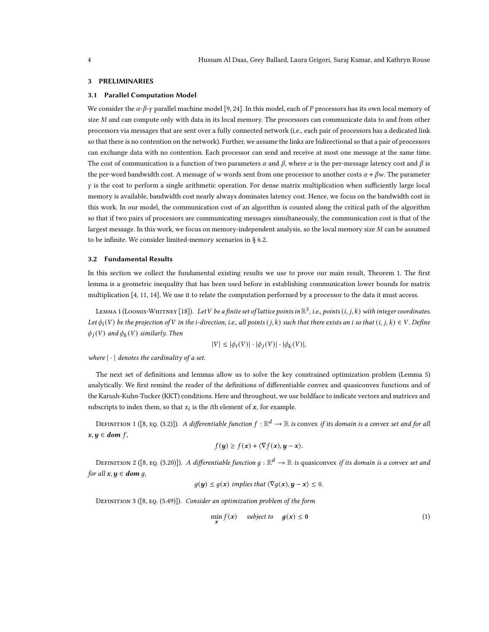#### <span id="page-3-0"></span>3 PRELIMINARIES

# 3.1 Parallel Computation Model

We consider the  $\alpha$ - $\beta$ - $\gamma$  parallel machine model [\[9,](#page-15-15) [24](#page-16-6)]. In this model, each of P processors has its own local memory of size M and can compute only with data in its local memory. The processors can communicate data to and from other processors via messages that are sent over a fully connected network (i.e., each pair of processors has a dedicated link so that there is no contention on the network). Further, we assume the links are bidirectional so that a pair of processors can exchange data with no contention. Each processor can send and receive at most one message at the same time. The cost of communication is a function of two parameters  $\alpha$  and  $\beta$ , where  $\alpha$  is the per-message latency cost and  $\beta$  is the per-word bandwidth cost. A message of  $w$  words sent from one processor to another costs  $\alpha + \beta w$ . The parameter  $\gamma$  is the cost to perform a single arithmetic operation. For dense matrix multiplication when sufficiently large local memory is available, bandwidth cost nearly always dominates latency cost. Hence, we focus on the bandwidth cost in this work. In our model, the communication cost of an algorithm is counted along the critical path of the algorithm so that if two pairs of processors are communicating messages simultaneously, the communication cost is that of the largest message. In this work, we focus on memory-independent analysis, so the local memory size  $M$  can be assumed to be infinite. We consider limited-memory scenarios in § [6.2.](#page-14-0)

# <span id="page-3-1"></span>3.2 Fundamental Results

In this section we collect the fundamental existing results we use to prove our main result, Theorem [1.](#page-7-0) The first lemma is a geometric inequality that has been used before in establishing communication lower bounds for matrix multiplication [\[4](#page-15-7), [11,](#page-15-1) [14](#page-15-3)]. We use it to relate the computation performed by a processor to the data it must access.

<span id="page-3-2"></span>LEMMA 1 (LOOMIS-WHITNEY [\[18\]](#page-16-3)). Let  $V$  be a finite set of lattice points in  $\mathbb{R}^3$ , i.e., points  $(i,j,k)$  with integer coordinates. Let  $\phi_i(V)$  be the projection of V in the *i*-direction, i.e., all points  $(j, k)$  such that there exists an *i* so that  $(i, j, k) \in V$ . Define  $\phi_j(V)$  and  $\phi_k(V)$  similarly. Then

$$
|V| \le |\phi_i(V)| \cdot |\phi_j(V)| \cdot |\phi_k(V)|,
$$

where  $|\cdot|$  denotes the cardinality of a set.

The next set of definitions and lemmas allow us to solve the key constrained optimization problem (Lemma [5\)](#page-5-1) analytically. We first remind the reader of the definitions of differentiable convex and quasiconvex functions and of the Karush-Kuhn-Tucker (KKT) conditions. Here and throughout, we use boldface to indicate vectors and matrices and subscripts to index them, so that  $x_i$  is the *i*th element of  $x$ , for example.

<span id="page-3-6"></span>DEFINITION1 ([\[8,](#page-15-16) EQ. (3.2)]). A differentiable function  $f:\mathbb{R}^d\to\mathbb{R}$  is convex if its domain is a convex set and for all  $x, y \in dom f$ ,

$$
f(\mathbf{y}) \ge f(\mathbf{x}) + \langle \nabla f(\mathbf{x}), \mathbf{y} - \mathbf{x} \rangle.
$$

<span id="page-3-3"></span>DEFINITION 2 ([\[8,](#page-15-16) EQ. (3.20)]). A differentiable function  $g:\R^d\to\R$  is quasiconvex if its domain is a convex set and for all  $x, y \in dom q$ ,

$$
g(\mathbf{y}) \le g(\mathbf{x})
$$
 implies that  $\langle \nabla g(\mathbf{x}), \mathbf{y} - \mathbf{x} \rangle \le 0$ .

<span id="page-3-5"></span>DEFINITION 3 ([\[8,](#page-15-16) EQ. (5.49)]). Consider an optimization problem of the form

<span id="page-3-4"></span>
$$
\min_{\mathbf{x}} f(\mathbf{x}) \quad \text{subject to} \quad g(\mathbf{x}) \le 0 \tag{1}
$$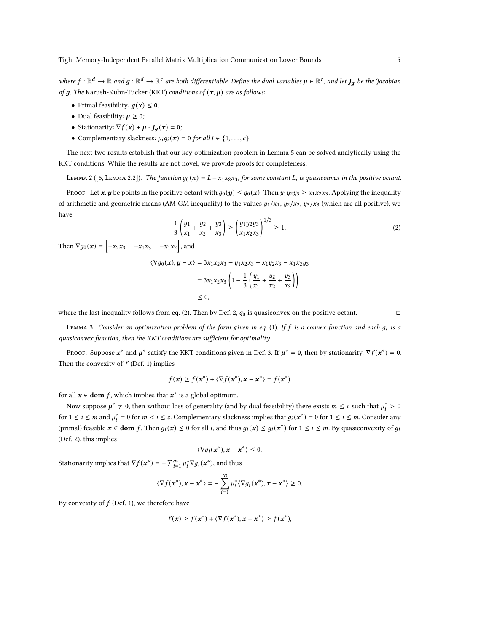where  $f:\R^d\to\R$  and  $g:\R^d\to\R^c$  are both differentiable. Define the dual variables  $\mu\in\R^c$ , and let  $J_g$  be the Jacobian of  $g$ . The Karush-Kuhn-Tucker (KKT) conditions of  $(x, \mu)$  are as follows:

- Primal feasibility:  $q(x) \leq 0$ ;
- Dual feasibility:  $\mu \geq 0$ ;
- Stationarity:  $\nabla f(x) + \mu \cdot J_q(x) = 0$ ;
- Complementary slackness:  $\mu_i g_i(\mathbf{x}) = 0$  for all  $i \in \{1, \ldots, c\}$ .

<span id="page-4-2"></span>The next two results establish that our key optimization problem in Lemma [5](#page-5-1) can be solved analytically using the KKT conditions. While the results are not novel, we provide proofs for completeness.

LEMMA2 ([\[6,](#page-15-11) LEMMA 2.2]). The function  $q_0(x) = L - x_1x_2x_3$ , for some constant L, is quasiconvex in the positive octant.

PROOF. Let x, y be points in the positive octant with  $g_0(y) \leq g_0(x)$ . Then  $y_1y_2y_3 \geq x_1x_2x_3$ . Applying the inequality of arithmetic and geometric means (AM-GM inequality) to the values  $y_1/x_1$ ,  $y_2/x_2$ ,  $y_3/x_3$  (which are all positive), we have

<span id="page-4-0"></span>
$$
\frac{1}{3} \left( \frac{y_1}{x_1} + \frac{y_2}{x_2} + \frac{y_3}{x_3} \right) \ge \left( \frac{y_1 y_2 y_3}{x_1 x_2 x_3} \right)^{1/3} \ge 1.
$$
 (2)

Then  $\nabla g_0(x) = \begin{bmatrix} -x_2 x_3 & -x_1 x_3 & -x_1 x_2 \end{bmatrix}$ , and

 $\langle \nabla g_0(\mathbf{x}), \mathbf{y} - \mathbf{x} \rangle = 3x_1x_2x_3 - y_1x_2x_3 - x_1y_2x_3 - x_1x_2y_3$ 

$$
= 3x_1x_2x_3\left(1 - \frac{1}{3}\left(\frac{y_1}{x_1} + \frac{y_2}{x_2} + \frac{y_3}{x_3}\right)\right) \le 0,
$$

<span id="page-4-1"></span>where the last inequality follows from eq. [\(2\)](#page-4-0). Then by Def. [2,](#page-3-3)  $g_0$  is quasiconvex on the positive octant.

LEMMA 3. Consider an optimization problem of the form given in eq. [\(1\)](#page-3-4). If  $f$  is a convex function and each  $g_i$  is a quasiconvex function, then the KKT conditions are sufficient for optimality.

Proof. Suppose  $x^*$  and  $\mu^*$  satisfy the KKT conditions given in Def. [3.](#page-3-5) If  $\mu^* = 0$ , then by stationarity,  $\nabla f(x^*) = 0$ . Then the convexity of  $f$  (Def. [1\)](#page-3-6) implies

$$
f(\mathbf{x}) \ge f(\mathbf{x}^*) + \langle \nabla f(\mathbf{x}^*), \mathbf{x} - \mathbf{x}^* \rangle = f(\mathbf{x}^*)
$$

for all  $x \in \text{dom } f$ , which implies that  $x^*$  is a global optimum.

Now suppose  $\mu^* \neq 0$ , then without loss of generality (and by dual feasibility) there exists  $m \leq c$  such that  $\mu_i^* > 0$ for  $1 \le i \le m$  and  $\mu_i^* = 0$  for  $m < i \le c$ . Complementary slackness implies that  $g_i(x^*) = 0$  for  $1 \le i \le m$ . Consider any (primal) feasible  $x \in \text{dom } f$ . Then  $g_i(x) \leq 0$  for all i, and thus  $g_i(x) \leq g_i(x^*)$  for  $1 \leq i \leq m$ . By quasiconvexity of  $g_i$ (Def. [2\)](#page-3-3), this implies

$$
\langle \nabla g_i(x^*), x - x^* \rangle \leq 0.
$$

Stationarity implies that  $\nabla f(\mathbf{x}^*) = -\sum_{i=1}^m \mu_i^* \nabla g_i(\mathbf{x}^*)$ , and thus

$$
\langle \nabla f(\mathbf{x}^*), \mathbf{x} - \mathbf{x}^* \rangle = -\sum_{i=1}^m \mu_i^* \langle \nabla g_i(\mathbf{x}^*), \mathbf{x} - \mathbf{x}^* \rangle \geq 0.
$$

By convexity of  $f$  (Def. [1\)](#page-3-6), we therefore have

$$
f(\mathbf{x}) \ge f(\mathbf{x}^*) + \langle \nabla f(\mathbf{x}^*), \mathbf{x} - \mathbf{x}^* \rangle \ge f(\mathbf{x}^*),
$$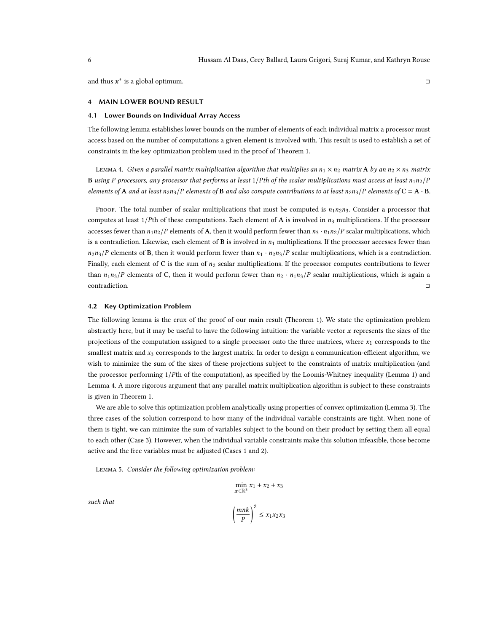<span id="page-5-0"></span>and thus  $x^*$  is a global optimum.

# 4 MAIN LOWER BOUND RESULT

# 4.1 Lower Bounds on Individual Array Access

<span id="page-5-2"></span>The following lemma establishes lower bounds on the number of elements of each individual matrix a processor must access based on the number of computations a given element is involved with. This result is used to establish a set of constraints in the key optimization problem used in the proof of Theorem [1.](#page-7-0)

LEMMA 4. Given a parallel matrix multiplication algorithm that multiplies an  $n_1 \times n_2$  matrix A by an  $n_2 \times n_3$  matrix B using P processors, any processor that performs at least  $1/Ph$  of the scalar multiplications must access at least  $n_1n_2/P$ elements of A and at least  $n_2n_3/P$  elements of B and also compute contributions to at least  $n_2n_3/P$  elements of C = A · B.

PROOF. The total number of scalar multiplications that must be computed is  $n_1n_2n_3$ . Consider a processor that computes at least  $1/P$ th of these computations. Each element of A is involved in  $n_3$  multiplications. If the processor accesses fewer than  $n_1n_2/P$  elements of A, then it would perform fewer than  $n_3 \cdot n_1n_2/P$  scalar multiplications, which is a contradiction. Likewise, each element of  $\bf{B}$  is involved in  $n_1$  multiplications. If the processor accesses fewer than  $n_2$  $n_3$ /P elements of B, then it would perform fewer than  $n_1 \cdot n_2$  $n_3$ /P scalar multiplications, which is a contradiction. Finally, each element of C is the sum of  $n_2$  scalar multiplications. If the processor computes contributions to fewer than  $n_1 n_3/P$  elements of C, then it would perform fewer than  $n_2 \cdot n_1 n_3/P$  scalar multiplications, which is again a contradiction.

# 4.2 Key Optimization Problem

The following lemma is the crux of the proof of our main result (Theorem [1\)](#page-7-0). We state the optimization problem abstractly here, but it may be useful to have the following intuition: the variable vector  $x$  represents the sizes of the projections of the computation assigned to a single processor onto the three matrices, where  $x_1$  corresponds to the smallest matrix and  $x_3$  corresponds to the largest matrix. In order to design a communication-efficient algorithm, we wish to minimize the sum of the sizes of these projections subject to the constraints of matrix multiplication (and the processor performing 1/Pth of the computation), as specified by the Loomis-Whitney inequality (Lemma [1\)](#page-3-2) and Lemma [4.](#page-5-2) A more rigorous argument that any parallel matrix multiplication algorithm is subject to these constraints is given in Theorem [1.](#page-7-0)

We are able to solve this optimization problem analytically using properties of convex optimization (Lemma [3\)](#page-4-1). The three cases of the solution correspond to how many of the individual variable constraints are tight. When none of them is tight, we can minimize the sum of variables subject to the bound on their product by setting them all equal to each other (Case 3). However, when the individual variable constraints make this solution infeasible, those become active and the free variables must be adjusted (Cases 1 and 2).

<span id="page-5-1"></span>Lemma 5. Consider the following optimization problem:

$$
\min_{\mathbf{x} \in \mathbb{R}^3} x_1 + x_2 + x_3
$$
\n
$$
\left(\frac{mnk}{P}\right)^2 \le x_1 x_2 x_3
$$

such that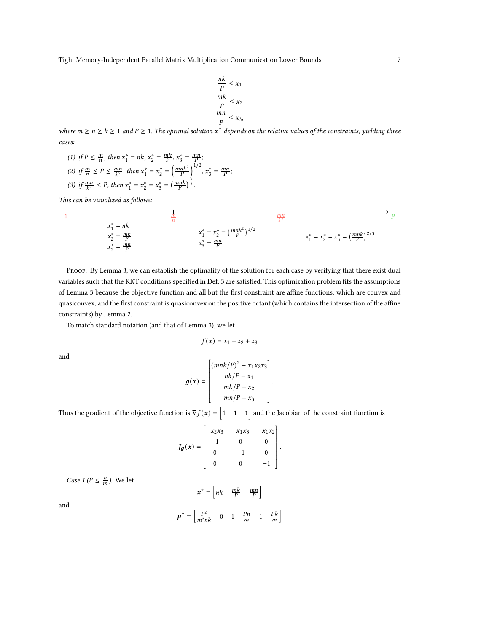Tight Memory-Independent Parallel Matrix Multiplication Communication Lower Bounds 7

$$
\frac{nk}{P} \le x_1
$$
  

$$
\frac{mk}{P} \le x_2
$$
  

$$
\frac{mn}{P} \le x_3,
$$

where  $m \ge n \ge k \ge 1$  and  $P \ge 1$ . The optimal solution  $x^*$  depends on the relative values of the constraints, yielding three cases:

(1) if 
$$
P \le \frac{m}{n}
$$
, then  $x_1^* = nk$ ,  $x_2^* = \frac{mk}{P}$ ,  $x_3^* = \frac{mn}{P}$ ;  
\n(2) if  $\frac{m}{n} \le P \le \frac{mn}{k^2}$ , then  $x_1^* = x_2^* = \left(\frac{mnk^2}{P}\right)^{1/2}$ ,  $x_3^* = \frac{mn}{P}$ ;  
\n(3) if  $\frac{mn}{k^2} \le P$ , then  $x_1^* = x_2^* = x_3^* = \left(\frac{mnk}{P}\right)^{\frac{2}{3}}$ .

This can be visualized as follows:

$$
\frac{1}{1}
$$
  
\n
$$
x_1^* = nk
$$
  
\n
$$
x_2^* = \frac{mk}{P}
$$
  
\n
$$
x_3^* = \frac{mn}{P}
$$
  
\n
$$
x_4^* = x_2^* = (\frac{mnk^2}{P})^{1/2}
$$
  
\n
$$
x_1^* = x_2^* = x_3^* = (\frac{mnk}{P})^{2/3}
$$
  
\n
$$
x_1^* = x_2^* = x_3^* = (\frac{mnk}{P})^{2/3}
$$

PROOF. By Lemma [3,](#page-4-1) we can establish the optimality of the solution for each case by verifying that there exist dual variables such that the KKT conditions specified in Def. [3](#page-3-5) are satisfied. This optimization problem fits the assumptions of Lemma [3](#page-4-1) because the objective function and all but the first constraint are affine functions, which are convex and quasiconvex, and the first constraint is quasiconvex on the positive octant (which contains the intersection of the affine constraints) by Lemma [2.](#page-4-2)

To match standard notation (and that of Lemma [3\)](#page-4-1), we let

$$
f(\pmb{x})=x_1+x_2+x_3
$$

and

$$
g(x) = \begin{bmatrix} (mnk/P)^2 - x_1x_2x_3 \ nk/P - x_1 \ mk/P - x_2 \ mn/P - x_3 \end{bmatrix}.
$$

Thus the gradient of the objective function is  $\nabla f(x) = \begin{bmatrix} 1 & 1 & 1 \end{bmatrix}$  and the Jacobian of the constraint function is

$$
J_g(x) = \begin{bmatrix} -x_2x_3 & -x_1x_3 & -x_1x_2 \\ -1 & 0 & 0 \\ 0 & -1 & 0 \\ 0 & 0 & -1 \end{bmatrix}.
$$

*Case 1 (P*  $\leq \frac{n}{m}$ *)*. We let

$$
x^* = \begin{bmatrix} nk & \frac{mk}{P} & \frac{mn}{P} \end{bmatrix}
$$

$$
\mu^* = \begin{bmatrix} \frac{P^2}{m^2nk} & 0 & 1 - \frac{Pn}{m} & 1 - \frac{Pk}{m} \end{bmatrix}
$$

and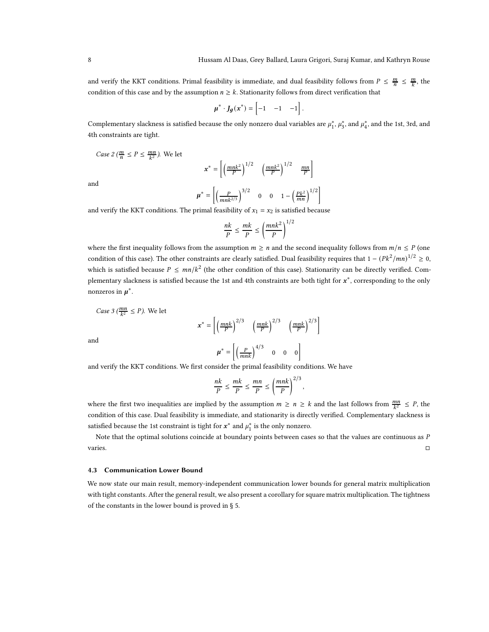and verify the KKT conditions. Primal feasibility is immediate, and dual feasibility follows from  $P \leq \frac{m}{n} \leq \frac{m}{k}$ , the condition of this case and by the assumption  $n \geq k$ . Stationarity follows from direct verification that

$$
\mu^* \cdot J_g(x^*) = \begin{bmatrix} -1 & -1 & -1 \end{bmatrix}.
$$

Complementary slackness is satisfied because the only nonzero dual variables are  $\mu_1^*,\mu_3^*$ , and  $\mu_4^*$ , and the 1st, 3rd, and 4th constraints are tight.

*Case 2* ( $\frac{m}{n} \le P \le \frac{mn}{k^2}$ ). We let

$$
\mathbf{x}^* = \left[ \left( \frac{mnk^2}{P} \right)^{1/2} \left( \frac{mnk^2}{P} \right)^{1/2} \frac{mn}{P} \right]
$$

and

$$
\mu^* = \left[ \left( \frac{P}{mnk^{2/3}} \right)^{3/2} \quad 0 \quad 0 \quad 1 - \left( \frac{p k^2}{mn} \right)^{1/2} \right]
$$

and verify the KKT conditions. The primal feasibility of  $x_1 = x_2$  is satisfied because

$$
\frac{nk}{P} \le \frac{mk}{P} \le \left(\frac{mnk^2}{P}\right)^{1/2}
$$

where the first inequality follows from the assumption  $m \geq n$  and the second inequality follows from  $m/n \leq P$  (one condition of this case). The other constraints are clearly satisfied. Dual feasibility requires that  $1 - (Pk^2/mn)^{1/2} \ge 0$ , which is satisfied because  $P \le mn/k^2$  (the other condition of this case). Stationarity can be directly verified. Complementary slackness is satisfied because the 1st and 4th constraints are both tight for  $x^*$ , corresponding to the only nonzeros in  $\mu^*$ .

Case 3 (
$$
\frac{mn}{k^2} \le P
$$
). We let

$$
\mathbf{x}^* = \left[ \left( \frac{mnk}{P} \right)^{2/3} \left( \frac{mnk}{P} \right)^{2/3} \left( \frac{mnk}{P} \right)^{2/3} \right]
$$

$$
\boldsymbol{\mu}^* = \left[ \left( \frac{P}{mnk} \right)^{4/3} \quad 0 \quad 0 \quad 0 \right]
$$

and

and verify the KKT conditions. We first consider the primal feasibility conditions. We have

$$
\frac{nk}{P} \le \frac{mk}{P} \le \frac{mn}{P} \le \left(\frac{mnk}{P}\right)^{2/3},
$$

where the first two inequalities are implied by the assumption  $m \ge n \ge k$  and the last follows from  $\frac{mn}{k^2} \le P$ , the condition of this case. Dual feasibility is immediate, and stationarity is directly verified. Complementary slackness is satisfied because the 1st constraint is tight for  $x^*$  and  $\mu_1^*$  is the only nonzero.

Note that the optimal solutions coincide at boundary points between cases so that the values are continuous as  $P$  $varies.$ 

# 4.3 Communication Lower Bound

<span id="page-7-0"></span>We now state our main result, memory-independent communication lower bounds for general matrix multiplication with tight constants. After the general result, we also present a corollary for square matrix multiplication. The tightness of the constants in the lower bound is proved in § [5.](#page-9-0)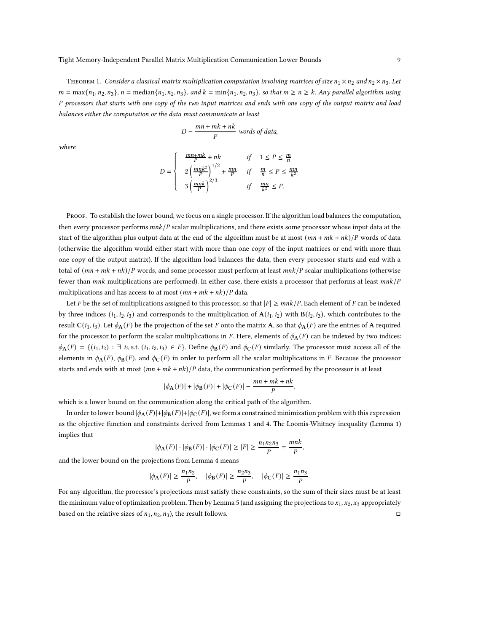THEOREM 1. Consider a classical matrix multiplication computation involving matrices of size  $n_1 \times n_2$  and  $n_2 \times n_3$ . Let  $m = \max\{n_1, n_2, n_3\}, n = \text{median}\{n_1, n_2, n_3\}, \text{and } k = \min\{n_1, n_2, n_3\}, \text{so that } m \geq n \geq k.$  Any parallel algorithm using P processors that starts with one copy of the two input matrices and ends with one copy of the output matrix and load balances either the computation or the data must communicate at least

$$
D - \frac{mn + mk + nk}{P}
$$
 words of data,

where

$$
D = \begin{cases} \frac{mn + mk}{P} + nk & \text{if } 1 \le P \le \frac{m}{n} \\ 2\left(\frac{mnk^2}{P}\right)^{1/2} + \frac{mn}{P} & \text{if } \frac{m}{n} \le P \le \frac{mn}{k^2} \\ 3\left(\frac{mnk}{P}\right)^{2/3} & \text{if } \frac{mn}{k^2} \le P. \end{cases}
$$

PROOF. To establish the lower bound, we focus on a single processor. If the algorithm load balances the computation, then every processor performs  $mnk/P$  scalar multiplications, and there exists some processor whose input data at the start of the algorithm plus output data at the end of the algorithm must be at most  $(mn + mk + nk)/P$  words of data (otherwise the algorithm would either start with more than one copy of the input matrices or end with more than one copy of the output matrix). If the algorithm load balances the data, then every processor starts and end with a total of  $(mn + mk + nk)/P$  words, and some processor must perform at least  $mnk/P$  scalar multiplications (otherwise fewer than  $mnk$  multiplications are performed). In either case, there exists a processor that performs at least  $mnk/P$ multiplications and has access to at most  $(mn + mk + nk)/P$  data.

Let F be the set of multiplications assigned to this processor, so that  $|F| \geq \frac{mnk}{P}$ . Each element of F can be indexed by three indices  $(i_1, i_2, i_3)$  and corresponds to the multiplication of  $A(i_1, i_2)$  with  $B(i_2, i_3)$ , which contributes to the result  $C(i_1, i_3)$ . Let  $\phi_A(F)$  be the projection of the set F onto the matrix A, so that  $\phi_A(F)$  are the entries of A required for the processor to perform the scalar multiplications in F. Here, elements of  $\phi_{A}(F)$  can be indexed by two indices:  $\phi_{\mathbf{A}}(F) = \{ (i_1, i_2) : \exists i_3 \text{ s.t. } (i_1, i_2, i_3) \in F \}$ . Define  $\phi_{\mathbf{B}}(F)$  and  $\phi_{\mathbf{C}}(F)$  similarly. The processor must access all of the elements in  $\phi_{\bf A}(F)$ ,  $\phi_{\bf B}(F)$ , and  $\phi_{\bf C}(F)$  in order to perform all the scalar multiplications in F. Because the processor starts and ends with at most  $(mn + mk + nk)/P$  data, the communication performed by the processor is at least

$$
|\phi_{A}(F)| + |\phi_{B}(F)| + |\phi_{C}(F)| - \frac{mn + mk + nk}{P}
$$

,

which is a lower bound on the communication along the critical path of the algorithm.

In order to lower bound  $|\phi_{A}(F)|+|\phi_{B}(F)|+|\phi_{C}(F)|$ , we form a constrained minimization problem with this expression as the objective function and constraints derived from Lemmas [1](#page-3-2) and [4.](#page-5-2) The Loomis-Whitney inequality (Lemma [1\)](#page-3-2) implies that

$$
|\phi_{\mathbf{A}}(F)| \cdot |\phi_{\mathbf{B}}(F)| \cdot |\phi_{\mathbf{C}}(F)| \ge |F| \ge \frac{n_1 n_2 n_3}{P} = \frac{mnk}{P},
$$

and the lower bound on the projections from Lemma [4](#page-5-2) means

$$
|\phi_{\mathbf{A}}(F)| \ge \frac{n_1 n_2}{P}, \quad |\phi_{\mathbf{B}}(F)| \ge \frac{n_2 n_3}{P}, \quad |\phi_{\mathbf{C}}(F)| \ge \frac{n_1 n_3}{P}.
$$

For any algorithm, the processor's projections must satisfy these constraints, so the sum of their sizes must be at least the minimum value of optimization problem. Then by Lemma [5](#page-5-1) (and assigning the projections to  $x_1, x_2, x_3$  appropriately based on the relative sizes of  $n_1, n_2, n_3$ ), the result follows.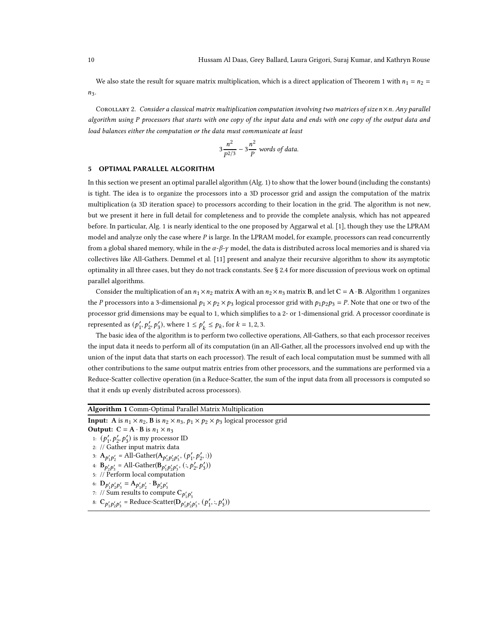We also state the result for square matrix multiplication, which is a direct application of Theorem [1](#page-7-0) with  $n_1 = n_2 =$  $n_3$ .

COROLLARY 2. Consider a classical matrix multiplication computation involving two matrices of size  $n \times n$ . Any parallel algorithm using P processors that starts with one copy of the input data and ends with one copy of the output data and load balances either the computation or the data must communicate at least

$$
3\frac{n^2}{P^{2/3}} - 3\frac{n^2}{P}
$$
 words of data.

#### <span id="page-9-0"></span>5 OPTIMAL PARALLEL ALGORITHM

In this section we present an optimal parallel algorithm (Alg. [1\)](#page-9-1) to show that the lower bound (including the constants) is tight. The idea is to organize the processors into a 3D processor grid and assign the computation of the matrix multiplication (a 3D iteration space) to processors according to their location in the grid. The algorithm is not new, but we present it here in full detail for completeness and to provide the complete analysis, which has not appeared before. In particular, Alg. [1](#page-9-1) is nearly identical to the one proposed by Aggarwal et al. [\[1\]](#page-15-12), though they use the LPRAM model and analyze only the case where  $P$  is large. In the LPRAM model, for example, processors can read concurrently from a global shared memory, while in the  $\alpha$ - $\beta$ - $\gamma$  model, the data is distributed across local memories and is shared via collectives like All-Gathers. Demmel et al. [\[11\]](#page-15-1) present and analyze their recursive algorithm to show its asymptotic optimality in all three cases, but they do not track constants. See § [2.4](#page-2-1) for more discussion of previous work on optimal parallel algorithms.

Consider the multiplication of an  $n_1 \times n_2$  matrix A with an  $n_2 \times n_3$  matrix B, and let C = A·B. Algorithm [1](#page-9-1) organizes the P processors into a 3-dimensional  $p_1 \times p_2 \times p_3$  logical processor grid with  $p_1p_2p_3 = P$ . Note that one or two of the processor grid dimensions may be equal to 1, which simplifies to a 2- or 1-dimensional grid. A processor coordinate is represented as  $(p'_1, p'_2, p'_3)$ , where  $1 \le p'_k \le p_k$ , for  $k = 1, 2, 3$ .

The basic idea of the algorithm is to perform two collective operations, All-Gathers, so that each processor receives the input data it needs to perform all of its computation (in an All-Gather, all the processors involved end up with the union of the input data that starts on each processor). The result of each local computation must be summed with all other contributions to the same output matrix entries from other processors, and the summations are performed via a Reduce-Scatter collective operation (in a Reduce-Scatter, the sum of the input data from all processors is computed so that it ends up evenly distributed across processors).

<span id="page-9-5"></span><span id="page-9-4"></span><span id="page-9-3"></span><span id="page-9-2"></span><span id="page-9-1"></span>

| <b>Algorithm 1</b> Comm-Optimal Parallel Matrix Multiplication                                                   |
|------------------------------------------------------------------------------------------------------------------|
| <b>Input:</b> A is $n_1 \times n_2$ , B is $n_2 \times n_3$ , $p_1 \times p_2 \times p_3$ logical processor grid |
| <b>Output:</b> $C = A \cdot B$ is $n_1 \times n_3$                                                               |
| 1: $(p'_1, p'_2, p'_3)$ is my processor ID                                                                       |
| 2: // Gather input matrix data                                                                                   |
| 3: $A_{p'_1p'_2}$ = All-Gather( $A_{p'_1p'_2p'_3}$ , $(p'_1, p'_2, :)$ )                                         |
| 4: $B_{p'_2p'_3} = All-Gather(B_{p'_1p'_2p'_3}, (:, p'_2, p'_3))$                                                |
| 5: // Perform local computation                                                                                  |
| 6: $D_{p'_1p'_2p'_3} = A_{p'_1p'_3} \cdot B_{p'_2p'_3}$                                                          |
| 7: // Sum results to compute $C_{p'_1p'_3}$                                                                      |
| 8: $C_{p'_1p'_2p'_3}$ = Reduce-Scatter( $D_{p'_1p'_2p'_3}$ , $(p'_1, \cdot, p'_3)$ )                             |
|                                                                                                                  |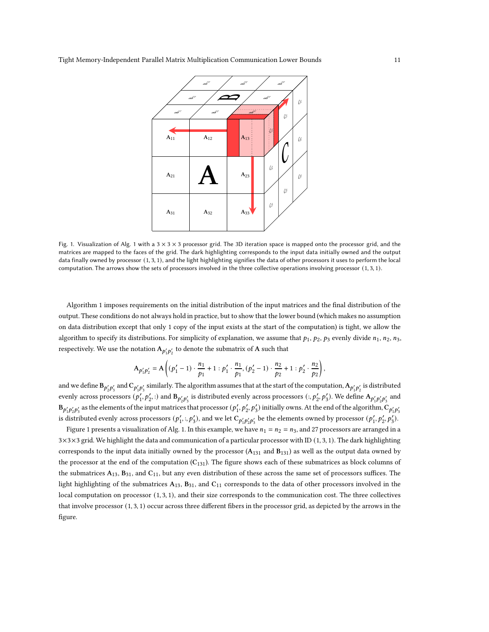<span id="page-10-0"></span>

Fig. [1](#page-9-1). Visualization of Alg. 1 with a  $3 \times 3 \times 3$  processor grid. The 3D iteration space is mapped onto the processor grid, and the matrices are mapped to the faces of the grid. The dark highlighting corresponds to the input data initially owned and the output data finally owned by processor (1, 3, 1), and the light highlighting signifies the data of other processors it uses to perform the local computation. The arrows show the sets of processors involved in the three collective operations involving processor (1, 3, 1).

Algorithm [1](#page-9-1) imposes requirements on the initial distribution of the input matrices and the final distribution of the output. These conditions do not always hold in practice, but to show that the lower bound (which makes no assumption on data distribution except that only 1 copy of the input exists at the start of the computation) is tight, we allow the algorithm to specify its distributions. For simplicity of explanation, we assume that  $p_1$ ,  $p_2$ ,  $p_3$  evenly divide  $n_1$ ,  $n_2$ ,  $n_3$ , respectively. We use the notation  $A_{p'_1p'_2}$  to denote the submatrix of  $A$  such that

$$
A_{p'_1p'_2} = A\left((p'_1 - 1) \cdot \frac{n_1}{p_1} + 1 : p'_1 \cdot \frac{n_1}{p_1}, (p'_2 - 1) \cdot \frac{n_2}{p_2} + 1 : p'_2 \cdot \frac{n_2}{p_2}\right),\,
$$

and we define  $B_{p'_2p'_3}$  and  $C_{p'_1p'_3}$  similarly. The algorithm assumes that at the start of the computation,  $A_{p'_1p'_2}$  is distributed evenly across processors  $(p'_1, p'_2,:)$  and  $B_{p'_2p'_3}$  is distributed evenly across processors  $(:, p'_2, p'_3)$ . We define  $A_{p'_1p'_2p'_3}$  and  $B_{p'_1p'_2p'_3}$  as the elements of the input matrices that processor  $(p'_1,p'_2,p'_3)$  initially owns. At the end of the algorithm,  $C_{p'_1p'_3}$ is distributed evenly across processors  $(p'_1, :, p'_3)$ , and we let  $C_{p'_1p'_2p'_3}$  be the elements owned by processor  $(p'_1, p'_2, p'_3)$ .

Figure [1](#page-10-0) presents a visualization of Alg. [1.](#page-9-1) In this example, we have  $n_1 = n_2 = n_3$ , and 27 processors are arranged in a 3×3×3 grid. We highlight the data and communication of a particular processor with ID (1, 3, 1). The dark highlighting corresponds to the input data initially owned by the processor  $(A_{131}$  and  $B_{131})$  as well as the output data owned by the processor at the end of the computation  $(C_{131})$ . The figure shows each of these submatrices as block columns of the submatrices  $A_{13}$ ,  $B_{31}$ , and  $C_{11}$ , but any even distribution of these across the same set of processors suffices. The light highlighting of the submatrices  $A_{13}$ ,  $B_{31}$ , and  $C_{11}$  corresponds to the data of other processors involved in the local computation on processor (1, 3, 1), and their size corresponds to the communication cost. The three collectives that involve processor (1, 3, 1) occur across three different fibers in the processor grid, as depicted by the arrows in the figure.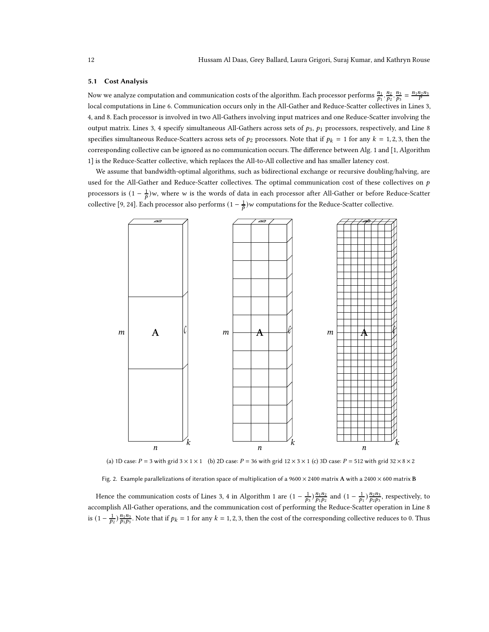#### 5.1 Cost Analysis

Now we analyze computation and communication costs of the algorithm. Each processor performs  $\frac{n_1}{p_1} \cdot \frac{n_2}{p_2} \cdot \frac{n_3}{p_3} = \frac{n_1 n_2 n_3}{P}$ local computations in Line [6.](#page-9-2) Communication occurs only in the All-Gather and Reduce-Scatter collectives in Lines [3,](#page-9-3) [4,](#page-9-4) and [8.](#page-9-5) Each processor is involved in two All-Gathers involving input matrices and one Reduce-Scatter involving the output matrix. Lines [3,](#page-9-3) [4](#page-9-4) specify simultaneous All-Gathers across sets of  $p_3$ ,  $p_1$  processors, respectively, and Line [8](#page-9-5) specifies simultaneous Reduce-Scatters across sets of  $p_2$  processors. Note that if  $p_k = 1$  for any  $k = 1, 2, 3$ , then the corresponding collective can be ignored as no communication occurs. The difference between Alg. [1](#page-9-1) and [\[1,](#page-15-12) Algorithm 1] is the Reduce-Scatter collective, which replaces the All-to-All collective and has smaller latency cost.

We assume that bandwidth-optimal algorithms, such as bidirectional exchange or recursive doubling/halving, are used for the All-Gather and Reduce-Scatter collectives. The optimal communication cost of these collectives on  $p$ processors is  $(1 - \frac{1}{p})w$ , where w is the words of data in each processor after All-Gather or before Reduce-Scatter collective [\[9](#page-15-15), [24\]](#page-16-6). Each processor also performs  $(1 - \frac{1}{p})w$  computations for the Reduce-Scatter collective.

<span id="page-11-0"></span>

(a) 1D case:  $P = 3$  with grid  $3 \times 1 \times 1$  (b) 2D case:  $P = 36$  with grid  $12 \times 3 \times 1$  (c) 3D case:  $P = 512$  with grid  $32 \times 8 \times 2$ 

Fig. 2. Example parallelizations of iteration space of multiplication of a 9600  $\times$  2400 matrix A with a 2400  $\times$  600 matrix B

Hence the communication costs of Lines [3,](#page-9-3) [4](#page-9-4) in Algorithm [1](#page-9-1) are  $(1 - \frac{1}{p_3}) \frac{n_1 n_2}{p_1 p_2}$  and  $(1 - \frac{1}{p_1}) \frac{n_2 n_3}{p_2 p_3}$ , respectively, to accomplish All-Gather operations, and the communication cost of performing the Reduce-Scatter operation in Line [8](#page-9-5) is  $(1 - \frac{1}{p_2}) \frac{p_1 n_3}{p_1 p_3}$ . Note that if  $p_k = 1$  for any  $k = 1, 2, 3$ , then the cost of the corresponding collective reduces to 0. Thus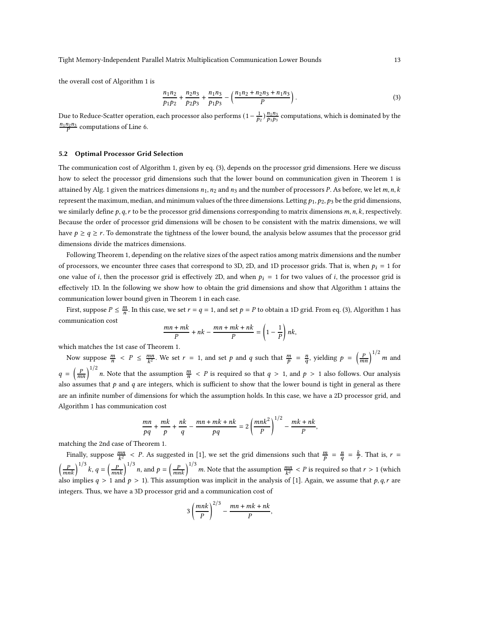the overall cost of Algorithm [1](#page-9-1) is

<span id="page-12-0"></span>
$$
\frac{n_1 n_2}{p_1 p_2} + \frac{n_2 n_3}{p_2 p_3} + \frac{n_1 n_3}{p_1 p_3} - \left(\frac{n_1 n_2 + n_2 n_3 + n_1 n_3}{P}\right).
$$
\n(3)

Due to Reduce-Scatter operation, each processor also performs  $(1-\frac{1}{p_2})\frac{n_1n_3}{p_1p_3}$  computations, which is dominated by the  $\frac{n_1 n_2 n_3}{P}$  computations of Line [6.](#page-9-2)

# 5.2 Optimal Processor Grid Selection

The communication cost of Algorithm [1,](#page-9-1) given by eq. [\(3\)](#page-12-0), depends on the processor grid dimensions. Here we discuss how to select the processor grid dimensions such that the lower bound on communication given in Theorem [1](#page-7-0) is attained by Alg. [1](#page-9-1) given the matrices dimensions  $n_1$ ,  $n_2$  and  $n_3$  and the number of processors P. As before, we let  $m, n, k$ represent the maximum, median, and minimum values of the three dimensions. Letting  $p_1, p_2, p_3$  be the grid dimensions, we similarly define  $p, q, r$  to be the processor grid dimensions corresponding to matrix dimensions  $m, n, k$ , respectively. Because the order of processor grid dimensions will be chosen to be consistent with the matrix dimensions, we will have  $p \ge q \ge r$ . To demonstrate the tightness of the lower bound, the analysis below assumes that the processor grid dimensions divide the matrices dimensions.

Following Theorem [1,](#page-7-0) depending on the relative sizes of the aspect ratios among matrix dimensions and the number of processors, we encounter three cases that correspond to 3D, 2D, and 1D processor grids. That is, when  $p_i = 1$  for one value of *i*, then the processor grid is effectively 2D, and when  $p_i = 1$  for two values of *i*, the processor grid is effectively 1D. In the following we show how to obtain the grid dimensions and show that Algorithm [1](#page-9-1) attains the communication lower bound given in Theorem [1](#page-7-0) in each case.

First, suppose  $P \leq \frac{m}{n}$ . In this case, we set  $r = q = 1$  $r = q = 1$ , and set  $p = P$  to obtain a 1D grid. From eq. [\(3\)](#page-12-0), Algorithm 1 has communication cost

$$
\frac{mn + mk}{P} + nk - \frac{mn + mk + nk}{P} = \left(1 - \frac{1}{P}\right)nk,
$$

which matches the 1st case of Theorem [1.](#page-7-0)

Now suppose  $\frac{m}{n} < P \le \frac{mn}{k^2}$ . We set  $r = 1$ , and set  $p$  and  $q$  such that  $\frac{m}{p} = \frac{n}{q}$ , yielding  $p = \left(\frac{p}{mn}\right)^{1/2} m$  and  $q = \left(\frac{P}{mn}\right)^{1/2} n$ . Note that the assumption  $\frac{m}{n} < P$  is required so that  $q > 1$ , and  $p > 1$  also follows. Our analysis also assumes that  $p$  and  $q$  are integers, which is sufficient to show that the lower bound is tight in general as there are an infinite number of dimensions for which the assumption holds. In this case, we have a 2D processor grid, and Algorithm [1](#page-9-1) has communication cost

$$
\frac{mn}{pq} + \frac{mk}{p} + \frac{nk}{q} - \frac{mn + mk + nk}{pq} = 2\left(\frac{mnk^2}{p}\right)^{1/2} - \frac{mk + nk}{p},
$$

matching the 2nd case of Theorem [1.](#page-7-0)

Finally, suppose  $\frac{mn}{k^2} < P$ . As suggested in [\[1\]](#page-15-12), we set the grid dimensions such that  $\frac{m}{p} = \frac{n}{q} = \frac{k}{r}$ . That is,  $r =$  $\left(\frac{P}{mnk}\right)^{1/3}$  k,  $q = \left(\frac{P}{mnk}\right)^{1/3}$  n, and  $p = \left(\frac{P}{mnk}\right)^{1/3}$  m. Note that the assumption  $\frac{mn}{k^2} < P$  is required so that  $r > 1$  (which also implies  $q > 1$  and  $p > 1$ ). This assumption was implicit in the analysis of [\[1\]](#page-15-12). Again, we assume that  $p, q, r$  are integers. Thus, we have a 3D processor grid and a communication cost of

$$
3\left(\frac{mnk}{P}\right)^{2/3} - \frac{mn + mk + nk}{P},
$$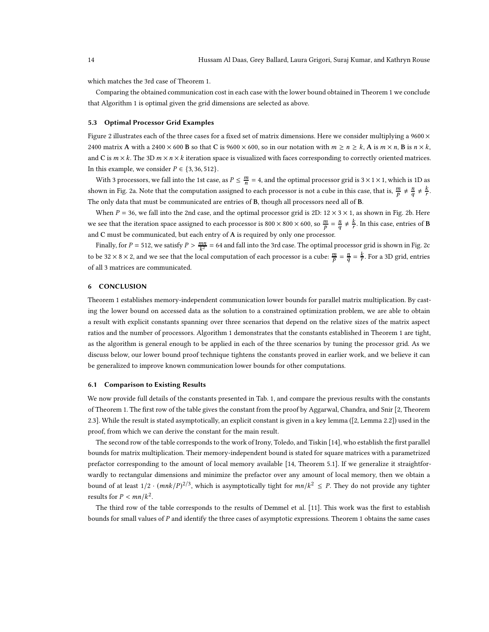which matches the 3rd case of Theorem [1.](#page-7-0)

Comparing the obtained communication cost in each case with the lower bound obtained in Theorem [1](#page-7-0) we conclude that Algorithm [1](#page-9-1) is optimal given the grid dimensions are selected as above.

# 5.3 Optimal Processor Grid Examples

Figure [2](#page-11-0) illustrates each of the three cases for a fixed set of matrix dimensions. Here we consider multiplying a  $9600 \times$ 2400 matrix A with a 2400  $\times$  600 B so that C is 9600  $\times$  600, so in our notation with  $m \ge n \ge k$ , A is  $m \times n$ , B is  $n \times k$ , and C is  $m \times k$ . The 3D  $m \times n \times k$  iteration space is visualized with faces corresponding to correctly oriented matrices. In this example, we consider  $P \in \{3, 36, 512\}$ .

With 3 processors, we fall into the 1st case, as  $P \leq \frac{m}{n} = 4$ , and the optimal processor grid is  $3 \times 1 \times 1$ , which is 1D as shown in Fig. [2a.](#page-11-0) Note that the computation assigned to each processor is not a cube in this case, that is,  $\frac{m}{p} \neq \frac{n}{q} \neq \frac{k}{r}$ . The only data that must be communicated are entries of B, though all processors need all of B.

When  $P = 36$ , we fall into the 2nd case, and the optimal processor grid is 2D:  $12 \times 3 \times 1$ , as shown in Fig. [2b.](#page-11-0) Here we see that the iteration space assigned to each processor is 800  $\times$  800  $\times$  600, so  $\frac{m}{p} = \frac{n}{q} \neq \frac{k}{r}$ . In this case, entries of **B** and C must be communicated, but each entry of A is required by only one processor.

Finally, for  $P = 512$ , we satisfy  $P > \frac{mn}{k^2} = 64$  and fall into the 3rd case. The optimal processor grid is shown in Fig. [2c](#page-11-0) to be 32  $\times$  8  $\times$  2, and we see that the local computation of each processor is a cube:  $\frac{m}{p} = \frac{n}{q} = \frac{k}{r}$ . For a 3D grid, entries of all 3 matrices are communicated.

# <span id="page-13-0"></span>6 CONCLUSION

Theorem [1](#page-7-0) establishes memory-independent communication lower bounds for parallel matrix multiplication. By casting the lower bound on accessed data as the solution to a constrained optimization problem, we are able to obtain a result with explicit constants spanning over three scenarios that depend on the relative sizes of the matrix aspect ratios and the number of processors. Algorithm [1](#page-9-1) demonstrates that the constants established in Theorem [1](#page-7-0) are tight, as the algorithm is general enough to be applied in each of the three scenarios by tuning the processor grid. As we discuss below, our lower bound proof technique tightens the constants proved in earlier work, and we believe it can be generalized to improve known communication lower bounds for other computations.

# <span id="page-13-1"></span>6.1 Comparison to Existing Results

We now provide full details of the constants presented in Tab. [1,](#page-2-0) and compare the previous results with the constants of Theorem [1.](#page-7-0) The first row of the table gives the constant from the proof by Aggarwal, Chandra, and Snir [\[2,](#page-15-0) Theorem 2.3]. While the result is stated asymptotically, an explicit constant is given in a key lemma ([\[2,](#page-15-0) Lemma 2.2]) used in the proof, from which we can derive the constant for the main result.

The second row of the table corresponds to the work of Irony, Toledo, and Tiskin [\[14\]](#page-15-3), who establish the first parallel bounds for matrix multiplication. Their memory-independent bound is stated for square matrices with a parametrized prefactor corresponding to the amount of local memory available [\[14,](#page-15-3) Theorem 5.1]. If we generalize it straightforwardly to rectangular dimensions and minimize the prefactor over any amount of local memory, then we obtain a bound of at least  $1/2 \cdot (mnk/P)^{2/3}$ , which is asymptotically tight for  $mn/k^2 \leq P$ . They do not provide any tighter results for  $P < mn/k^2$ .

The third row of the table corresponds to the results of Demmel et al. [\[11\]](#page-15-1). This work was the first to establish bounds for small values of P and identify the three cases of asymptotic expressions. Theorem [1](#page-7-0) obtains the same cases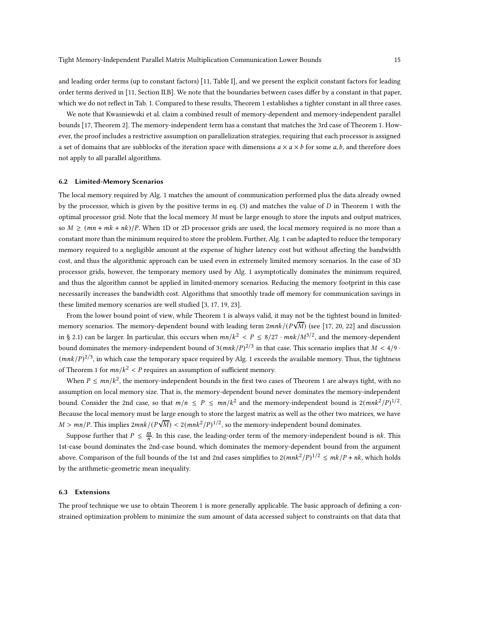and leading order terms (up to constant factors) [\[11,](#page-15-1) Table I], and we present the explicit constant factors for leading order terms derived in [\[11,](#page-15-1) Section II.B]. We note that the boundaries between cases differ by a constant in that paper, which we do not reflect in Tab. [1.](#page-2-0) Compared to these results, Theorem [1](#page-7-0) establishes a tighter constant in all three cases.

We note that Kwasniewski et al. claim a combined result of memory-dependent and memory-independent parallel bounds [\[17,](#page-15-4) Theorem 2]. The memory-independent term has a constant that matches the 3rd case of Theorem [1.](#page-7-0) However, the proof includes a restrictive assumption on parallelization strategies, requiring that each processor is assigned a set of domains that are subblocks of the iteration space with dimensions  $a \times a \times b$  for some a, b, and therefore does not apply to all parallel algorithms.

## <span id="page-14-0"></span>6.2 Limited-Memory Scenarios

The local memory required by Alg. [1](#page-9-1) matches the amount of communication performed plus the data already owned by the processor, which is given by the positive terms in eq.  $(3)$  and matches the value of  $D$  in Theorem [1](#page-7-0) with the optimal processor grid. Note that the local memory  $M$  must be large enough to store the inputs and output matrices, so  $M \ge (mn + mk + nk)/P$ . When 1D or 2D processor grids are used, the local memory required is no more than a constant more than the minimum required to store the problem. Further, Alg. [1](#page-9-1) can be adapted to reduce the temporary memory required to a negligible amount at the expense of higher latency cost but without affecting the bandwidth cost, and thus the algorithmic approach can be used even in extremely limited memory scenarios. In the case of 3D processor grids, however, the temporary memory used by Alg. [1](#page-9-1) asymptotically dominates the minimum required, and thus the algorithm cannot be applied in limited-memory scenarios. Reducing the memory footprint in this case necessarily increases the bandwidth cost. Algorithms that smoothly trade off memory for communication savings in these limited memory scenarios are well studied [\[3,](#page-15-5) [17](#page-15-4), [19,](#page-16-4) [23](#page-16-5)].

From the lower bound point of view, while Theorem [1](#page-7-0) is always valid, it may not be the tightest bound in limitedmemory scenarios. The memory-dependent bound with leading term  $2mnk/(P\sqrt{M})$  (see [\[17,](#page-15-4) [20,](#page-16-1) [22\]](#page-16-2) and discussion in § [2.1\)](#page-1-1) can be larger. In particular, this occurs when  $mn/k^2 < P \leq 8/27 \cdot mnk/M^{3/2}$ , and the memory-dependent bound dominates the memory-independent bound of  $3(mnk/P)^{2/3}$  in that case. This scenario implies that  $M < 4/9$  $(mnk/P)^{2/3}$ , in which case the temporary space required by Alg. [1](#page-9-1) exceeds the available memory. Thus, the tightness of Theorem [1](#page-7-0) for  $mn/k^2 < P$  requires an assumption of sufficient memory.

When  $P \le mn/k^2$ , the memory-independent bounds in the first two cases of Theorem [1](#page-7-0) are always tight, with no assumption on local memory size. That is, the memory-dependent bound never dominates the memory-independent bound. Consider the 2nd case, so that  $m/n \le P \le mn/k^2$  and the memory-independent bound is  $2(mnk^2/P)^{1/2}$ . Because the local memory must be large enough to store the largest matrix as well as the other two matrices, we have  $M > mn/P$ . This implies  $2mnk/(P\sqrt{M}) < 2(mnk^2/P)^{1/2}$ , so the memory-independent bound dominates.

Suppose further that  $P \leq \frac{m}{n}$ . In this case, the leading-order term of the memory-independent bound is *nk*. This 1st-case bound dominates the 2nd-case bound, which dominates the memory-dependent bound from the argument above. Comparison of the full bounds of the 1st and 2nd cases simplifies to  $2(mnk^2/P)^{1/2} \le mk/P + nk$ , which holds by the arithmetic-geometric mean inequality.

## 6.3 Extensions

The proof technique we use to obtain Theorem [1](#page-7-0) is more generally applicable. The basic approach of defining a constrained optimization problem to minimize the sum amount of data accessed subject to constraints on that data that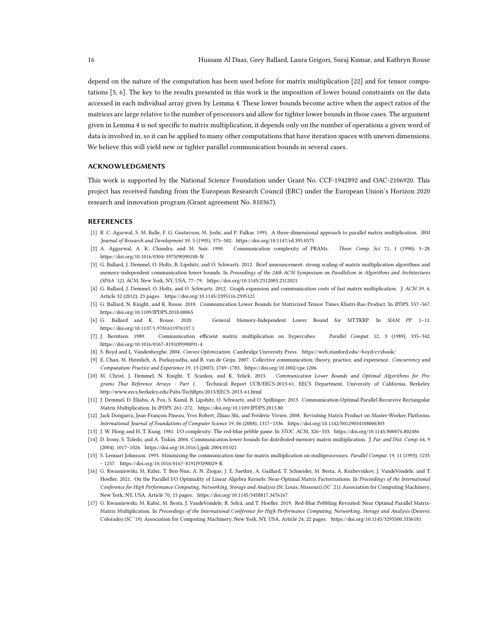depend on the nature of the computation has been used before for matrix multiplication [\[22](#page-16-2)] and for tensor computations [\[5](#page-15-10), [6\]](#page-15-11). The key to the results presented in this work is the imposition of lower bound constraints on the data accessed in each individual array given by Lemma [4.](#page-5-2) These lower bounds become active when the aspect ratios of the matrices are large relative to the number of processors and allow for tighter lower bounds in those cases. The argument given in Lemma [4](#page-5-2) is not specific to matrix multiplication, it depends only on the number of operations a given word of data is involved in, so it can be applied to many other computations that have iteration spaces with uneven dimensions. We believe this will yield new or tighter parallel communication bounds in several cases.

# ACKNOWLEDGMENTS

This work is supported by the National Science Foundation under Grant No. CCF-1942892 and OAC-2106920. This project has received funding from the European Research Council (ERC) under the European Union's Horizon 2020 research and innovation program (Grant agreement No. 810367).

#### **REFERENCES**

- <span id="page-15-12"></span>[1] R. C. Agarwal, S. M. Balle, F. G. Gustavson, M. Joshi, and P. Palkar. 1995. A three-dimensional approach to parallel matrix multiplication. IBM Journal of Research and Development 39, 5 (1995), 575–582.<https://doi.org/10.1147/rd.395.0575>
- <span id="page-15-0"></span>[2] A. Aggarwal, A. K. Chandra, and M. Snir. 1990. Communication complexity of PRAMs. Theor. Comp. Sci. 71, 1 (1990), 3–28. [https://doi.org/10.1016/0304-3975\(90\)90188-N](https://doi.org/10.1016/0304-3975(90)90188-N)
- <span id="page-15-5"></span>[3] G. Ballard, J. Demmel, O. Holtz, B. Lipshitz, and O. Schwartz. 2012. Brief announcement: strong scaling of matrix multiplication algorithms and memory-independent communication lower bounds. In Proceedings of the 24th ACM Symposium on Parallelism in Algorithms and Architectures (SPAA '12). ACM, New York, NY, USA, 77–79.<https://doi.org/10.1145/2312005.2312021>
- <span id="page-15-7"></span>[4] G. Ballard, J. Demmel, O. Holtz, and O. Schwartz. 2012. Graph expansion and communication costs of fast matrix multiplication. J. ACM 59, 6, Article 32 (2012), 23 pages.<https://doi.org/10.1145/2395116.2395121>
- <span id="page-15-10"></span>[5] G. Ballard, N. Knight, and K. Rouse. 2018. Communication Lower Bounds for Matricized Tensor Times Khatri-Rao Product. In IPDPS. 557–567. <https://doi.org/10.1109/IPDPS.2018.00065>
- <span id="page-15-11"></span>[6] G. Ballard and K. Rouse. 2020. General Memory-Independent Lower Bound for MTTKRP. In SIAM PP. 1–11. <https://doi.org/10.1137/1.9781611976137.1>
- <span id="page-15-13"></span>[7] J. Berntsen. 1989. Communication efficient matrix multiplication on hypercubes. Parallel Comput. 12, 3 (1989), 335–342. [https://doi.org/10.1016/0167-8191\(89\)90091-4](https://doi.org/10.1016/0167-8191(89)90091-4)
- <span id="page-15-16"></span>[8] S. Boyd and L. Vandenberghe. 2004. Convex Optimization. Cambridge University Press.<https://web.stanford.edu/~boyd/cvxbook/>
- <span id="page-15-15"></span>[9] E. Chan, M. Heimlich, A. Purkayastha, and R. van de Geijn. 2007. Collective communication: theory, practice, and experience. Concurrency and Computation: Practice and Experience 19, 13 (2007), 1749–1783.<https://doi.org/10.1002/cpe.1206>
- <span id="page-15-9"></span>[10] M. Christ, J. Demmel, N. Knight, T. Scanlon, and K. Yelick. 2013. Communication Lower Bounds and Optimal Algorithms for Programs That Reference Arrays - Part 1. Technical Report UCB/EECS-2013-61. EECS Department, University of California, Berkeley. <http://www.eecs.berkeley.edu/Pubs/TechRpts/2013/EECS-2013-61.html>
- <span id="page-15-1"></span>[11] J. Demmel, D. Eliahu, A. Fox, S. Kamil, B. Lipshitz, O. Schwartz, and O. Spillinger. 2013. Communication-Optimal Parallel Recursive Rectangular Matrix Multiplication. In IPDPS. 261–272.<https://doi.org/10.1109/IPDPS.2013.80>
- <span id="page-15-6"></span>[12] Jack Dongarra, Jean-François Pineau, Yves Robert, Zhiao Shi, and Frédéric Vivien. 2008. Revisiting Matrix Product on Master-Worker Platforms. International Journal of Foundations of Computer Science 19, 06 (2008), 1317–1336.<https://doi.org/10.1142/S0129054108006303>
- <span id="page-15-2"></span>[13] J. W. Hong and H. T. Kung. 1981. I/O complexity: The red-blue pebble game. In STOC. ACM, 326–333.<https://doi.org/10.1145/800076.802486>
- <span id="page-15-3"></span>[14] D. Irony, S. Toledo, and A. Tiskin. 2004. Communication lower bounds for distributed-memory matrix multiplication. J. Par. and Dist. Comp. 64, 9 (2004), 1017–1026.<https://doi.org/10.1016/j.jpdc.2004.03.021>
- <span id="page-15-14"></span>[15] S. Lennart Johnsson, 1993. Minimizing the communication time for matrix multiplication on multiprocessors. Parallel Comput. 19, 11 (1993), 1235 – 1257. [https://doi.org/10.1016/0167-8191\(93\)90029-K](https://doi.org/10.1016/0167-8191(93)90029-K)
- <span id="page-15-8"></span>[16] G. Kwasniewski, M. Kabic, T. Ben-Nun, A. N. Ziogas, J. E. Saethre, A. Gaillard, T. Schneider, M. Besta, A. Kozhevnikov, J. VandeVondele, and T. Hoefler. 2021. On the Parallel I/O Optimality of Linear Algebra Kernels: Near-Optimal Matrix Factorizations. In Proceedings of the International Conference for High Performance Computing, Networking, Storage and Analysis (St. Louis, Missouri) (SC '21). Association for Computing Machinery, New York, NY, USA, Article 70, 15 pages.<https://doi.org/10.1145/3458817.3476167>
- <span id="page-15-4"></span>[17] G. Kwasniewski, M. Kabić, M. Besta, J. VandeVondele, R. Solcà, and T. Hoefler. 2019. Red-Blue Pebbling Revisited: Near Optimal Parallel Matrix-Matrix Multiplication. In Proceedings of the International Conference for High Performance Computing, Networking, Storage and Analysis (Denver, Colorado) (SC '19). Association for Computing Machinery, New York, NY, USA, Article 24, 22 pages.<https://doi.org/10.1145/3295500.3356181>